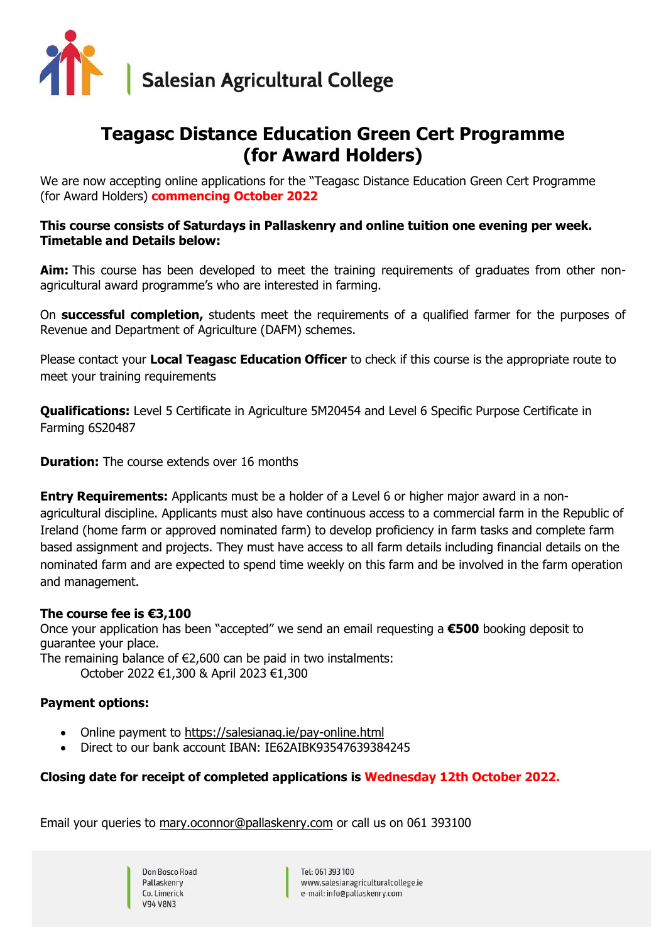

# **Teagasc Distance Education Green Cert Programme (for Award Holders)**

We are now accepting online applications for the "Teagasc Distance Education Green Cert Programme (for Award Holders) **commencing October 2022**

#### **This course consists of Saturdays in Pallaskenry and online tuition one evening per week. Timetable and Details below:**

**Aim:** This course has been developed to meet the training requirements of graduates from other nonagricultural award programme's who are interested in farming.

On **successful completion,** students meet the requirements of a qualified farmer for the purposes of Revenue and Department of Agriculture (DAFM) schemes.

Please contact your **Local Teagasc Education Officer** to check if this course is the appropriate route to meet your training requirements

**Qualifications:** Level 5 Certificate in Agriculture 5M20454 and Level 6 Specific Purpose Certificate in Farming 6S20487

**Duration:** The course extends over 16 months

**Entry Requirements:** Applicants must be a holder of a Level 6 or higher major award in a nonagricultural discipline. Applicants must also have continuous access to a commercial farm in the Republic of Ireland (home farm or approved nominated farm) to develop proficiency in farm tasks and complete farm based assignment and projects. They must have access to all farm details including financial details on the nominated farm and are expected to spend time weekly on this farm and be involved in the farm operation and management.

#### **The course fee is €3,100**

Once your application has been "accepted" we send an email requesting a **€500** booking deposit to guarantee your place.

The remaining balance of  $E2,600$  can be paid in two instalments:

October 2022 €1,300 & April 2023 €1,300

#### **Payment options:**

- Online payment to<https://salesianag.ie/pay-online.html>
- Direct to our bank account IBAN: IE62AIBK93547639384245

#### **Closing date for receipt of completed applications is Wednesday 12th October 2022.**

Email your queries to [mary.oconnor@pallaskenry.com](mailto:mary.oconnor@pallaskenry.com) or call us on 061 393100

Don Bosco Road Pallaskenry Co. Limerick **V94 V8N3** 

Tel: 061 393 100 www.salesianagriculturalcollege.ie e-mail: info@pallaskenry.com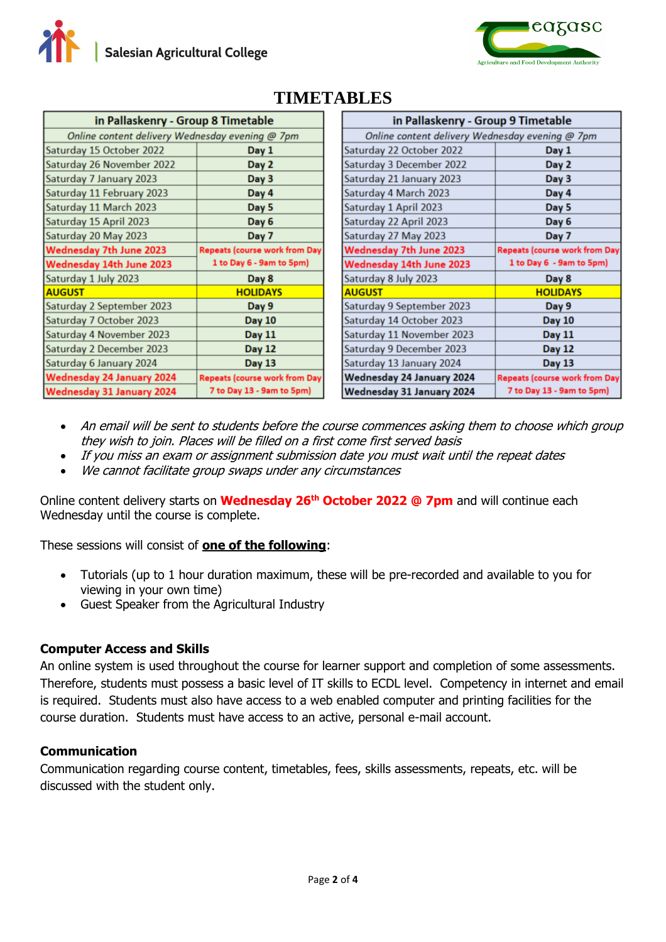

| in Pallaskenry - Group 8 Timetable              |                                      |  |  |  |  |  |
|-------------------------------------------------|--------------------------------------|--|--|--|--|--|
| Online content delivery Wednesday evening @ 7pm |                                      |  |  |  |  |  |
| Saturday 15 October 2022                        | Day 1                                |  |  |  |  |  |
| Saturday 26 November 2022                       | Day 2                                |  |  |  |  |  |
| Saturday 7 January 2023                         | Day 3                                |  |  |  |  |  |
| Saturday 11 February 2023                       | Day 4                                |  |  |  |  |  |
| Saturday 11 March 2023                          | Day 5                                |  |  |  |  |  |
| Saturday 15 April 2023                          | Day 6                                |  |  |  |  |  |
| Saturday 20 May 2023                            | Day 7                                |  |  |  |  |  |
| <b>Wednesday 7th June 2023</b>                  | Repeats (course work from Day        |  |  |  |  |  |
| Wednesday 14th June 2023                        | 1 to Day 6 - 9am to 5pm)             |  |  |  |  |  |
| Saturday 1 July 2023                            | Day 8                                |  |  |  |  |  |
| <b>AUGUST</b>                                   | <b>HOLIDAYS</b>                      |  |  |  |  |  |
| Saturday 2 September 2023                       | Day 9                                |  |  |  |  |  |
| Saturday 7 October 2023                         | <b>Day 10</b>                        |  |  |  |  |  |
| Saturday 4 November 2023                        | <b>Day 11</b>                        |  |  |  |  |  |
| <b>Saturday 2 December 2023</b>                 | <b>Day 12</b>                        |  |  |  |  |  |
| Saturday 6 January 2024                         | <b>Day 13</b>                        |  |  |  |  |  |
| <b>Wednesday 24 January 2024</b>                | <b>Repeats (course work from Day</b> |  |  |  |  |  |
| <b>Wednesday 31 January 2024</b>                | 7 to Day 13 - 9am to 5pm)            |  |  |  |  |  |

### **TIMETABLES**

| in Pallaskenry - Group 9 Timetable              |                               |  |  |  |  |  |  |
|-------------------------------------------------|-------------------------------|--|--|--|--|--|--|
| Online content delivery Wednesday evening @ 7pm |                               |  |  |  |  |  |  |
| Saturday 22 October 2022                        | Day 1                         |  |  |  |  |  |  |
| Saturday 3 December 2022                        | Day 2                         |  |  |  |  |  |  |
| Saturday 21 January 2023                        | Day 3                         |  |  |  |  |  |  |
| Saturday 4 March 2023                           | Day 4                         |  |  |  |  |  |  |
| Saturday 1 April 2023                           | Day 5                         |  |  |  |  |  |  |
| Saturday 22 April 2023                          | Day 6                         |  |  |  |  |  |  |
| Saturday 27 May 2023                            | Day 7                         |  |  |  |  |  |  |
| Wednesday 7th June 2023                         | Repeats (course work from Day |  |  |  |  |  |  |
| Wednesday 14th June 2023                        | 1 to Day 6 - 9am to 5pm)      |  |  |  |  |  |  |
| Saturday 8 July 2023                            | Day 8                         |  |  |  |  |  |  |
| <b>AUGUST</b>                                   | <b>HOLIDAYS</b>               |  |  |  |  |  |  |
| Saturday 9 September 2023                       | Day 9                         |  |  |  |  |  |  |
| Saturday 14 October 2023                        | <b>Day 10</b>                 |  |  |  |  |  |  |
| Saturday 11 November 2023                       | <b>Day 11</b>                 |  |  |  |  |  |  |
| Saturday 9 December 2023                        | <b>Day 12</b>                 |  |  |  |  |  |  |
| Saturday 13 January 2024                        | <b>Day 13</b>                 |  |  |  |  |  |  |
| Wednesday 24 January 2024                       | Repeats (course work from Day |  |  |  |  |  |  |
| Wednesday 31 January 2024                       | 7 to Day 13 - 9am to 5pm)     |  |  |  |  |  |  |

- An email will be sent to students before the course commences asking them to choose which group they wish to join. Places will be filled on a first come first served basis
- If you miss an exam or assignment submission date you must wait until the repeat dates
- We cannot facilitate group swaps under any circumstances

Online content delivery starts on **Wednesday 26th October 2022 @ 7pm** and will continue each Wednesday until the course is complete.

These sessions will consist of **one of the following**:

- Tutorials (up to 1 hour duration maximum, these will be pre-recorded and available to you for viewing in your own time)
- Guest Speaker from the Agricultural Industry

#### **Computer Access and Skills**

An online system is used throughout the course for learner support and completion of some assessments. Therefore, students must possess a basic level of IT skills to ECDL level. Competency in internet and email is required. Students must also have access to a web enabled computer and printing facilities for the course duration. Students must have access to an active, personal e-mail account.

#### **Communication**

Communication regarding course content, timetables, fees, skills assessments, repeats, etc. will be discussed with the student only.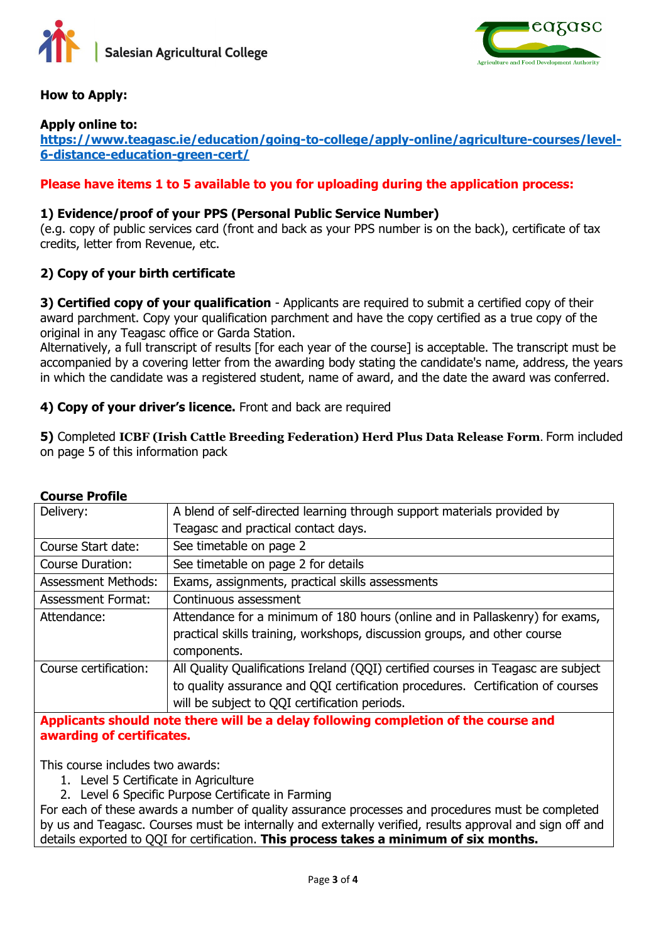



#### **How to Apply:**

#### **Apply online to:**

**[https://www.teagasc.ie/education/going-to-college/apply-online/agriculture-courses/level-](https://www.teagasc.ie/education/going-to-college/apply-online/agriculture-courses/level-6-distance-education-green-cert/)[6-distance-education-green-cert/](https://www.teagasc.ie/education/going-to-college/apply-online/agriculture-courses/level-6-distance-education-green-cert/)**

#### **Please have items 1 to 5 available to you for uploading during the application process:**

#### **1) Evidence/proof of your PPS (Personal Public Service Number)**

(e.g. copy of public services card (front and back as your PPS number is on the back), certificate of tax credits, letter from Revenue, etc.

#### **2) Copy of your birth certificate**

**3) Certified copy of your qualification** - Applicants are required to submit a certified copy of their award parchment. Copy your qualification parchment and have the copy certified as a true copy of the original in any Teagasc office or Garda Station.

Alternatively, a full transcript of results [for each year of the course] is acceptable. The transcript must be accompanied by a covering letter from the awarding body stating the candidate's name, address, the years in which the candidate was a registered student, name of award, and the date the award was conferred.

#### **4) Copy of your driver's licence.** Front and back are required

**5)** Completed **ICBF (Irish Cattle Breeding Federation) Herd Plus Data Release Form**. Form included on page 5 of this information pack

| Delivery:                                                                           | A blend of self-directed learning through support materials provided by                                                                                   |  |  |  |  |
|-------------------------------------------------------------------------------------|-----------------------------------------------------------------------------------------------------------------------------------------------------------|--|--|--|--|
|                                                                                     | Teagasc and practical contact days.                                                                                                                       |  |  |  |  |
| Course Start date:                                                                  | See timetable on page 2                                                                                                                                   |  |  |  |  |
| <b>Course Duration:</b>                                                             | See timetable on page 2 for details                                                                                                                       |  |  |  |  |
| <b>Assessment Methods:</b>                                                          | Exams, assignments, practical skills assessments                                                                                                          |  |  |  |  |
| <b>Assessment Format:</b>                                                           | Continuous assessment                                                                                                                                     |  |  |  |  |
| Attendance:                                                                         | Attendance for a minimum of 180 hours (online and in Pallaskenry) for exams,<br>practical skills training, workshops, discussion groups, and other course |  |  |  |  |
|                                                                                     | components.                                                                                                                                               |  |  |  |  |
| Course certification:                                                               | All Quality Qualifications Ireland (QQI) certified courses in Teagasc are subject                                                                         |  |  |  |  |
|                                                                                     | to quality assurance and QQI certification procedures. Certification of courses                                                                           |  |  |  |  |
|                                                                                     | will be subject to QQI certification periods.                                                                                                             |  |  |  |  |
| Applicants should note there will be a delay following completion of the course and |                                                                                                                                                           |  |  |  |  |

#### **Course Profile**

**Applicants should note there will be a delay following completion of the course and awarding of certificates.** 

This course includes two awards:

- 1. Level 5 Certificate in Agriculture
- 2. Level 6 Specific Purpose Certificate in Farming

For each of these awards a number of quality assurance processes and procedures must be completed by us and Teagasc. Courses must be internally and externally verified, results approval and sign off and details exported to QQI for certification. **This process takes a minimum of six months.**